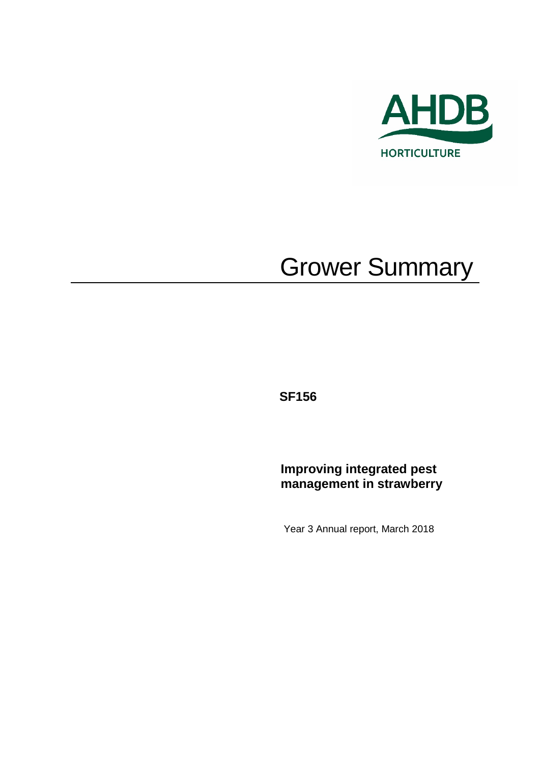

# Grower Summary

**SF156**

## **Improving integrated pest management in strawberry**

Year 3 Annual report, March 2018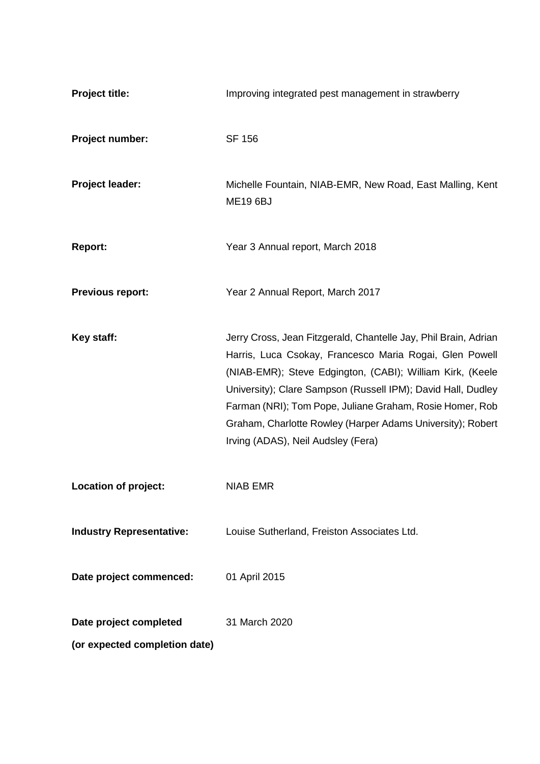| <b>Project title:</b>           | Improving integrated pest management in strawberry                                                                                                                                                                                                                                                                                                                                                                      |
|---------------------------------|-------------------------------------------------------------------------------------------------------------------------------------------------------------------------------------------------------------------------------------------------------------------------------------------------------------------------------------------------------------------------------------------------------------------------|
| Project number:                 | SF 156                                                                                                                                                                                                                                                                                                                                                                                                                  |
| <b>Project leader:</b>          | Michelle Fountain, NIAB-EMR, New Road, East Malling, Kent<br><b>ME19 6BJ</b>                                                                                                                                                                                                                                                                                                                                            |
| <b>Report:</b>                  | Year 3 Annual report, March 2018                                                                                                                                                                                                                                                                                                                                                                                        |
| <b>Previous report:</b>         | Year 2 Annual Report, March 2017                                                                                                                                                                                                                                                                                                                                                                                        |
| Key staff:                      | Jerry Cross, Jean Fitzgerald, Chantelle Jay, Phil Brain, Adrian<br>Harris, Luca Csokay, Francesco Maria Rogai, Glen Powell<br>(NIAB-EMR); Steve Edgington, (CABI); William Kirk, (Keele<br>University); Clare Sampson (Russell IPM); David Hall, Dudley<br>Farman (NRI); Tom Pope, Juliane Graham, Rosie Homer, Rob<br>Graham, Charlotte Rowley (Harper Adams University); Robert<br>Irving (ADAS), Neil Audsley (Fera) |
| Location of project:            | NIAB EMR                                                                                                                                                                                                                                                                                                                                                                                                                |
| <b>Industry Representative:</b> | Louise Sutherland, Freiston Associates Ltd.                                                                                                                                                                                                                                                                                                                                                                             |
| Date project commenced:         | 01 April 2015                                                                                                                                                                                                                                                                                                                                                                                                           |
| Date project completed          | 31 March 2020                                                                                                                                                                                                                                                                                                                                                                                                           |
| (or expected completion date)   |                                                                                                                                                                                                                                                                                                                                                                                                                         |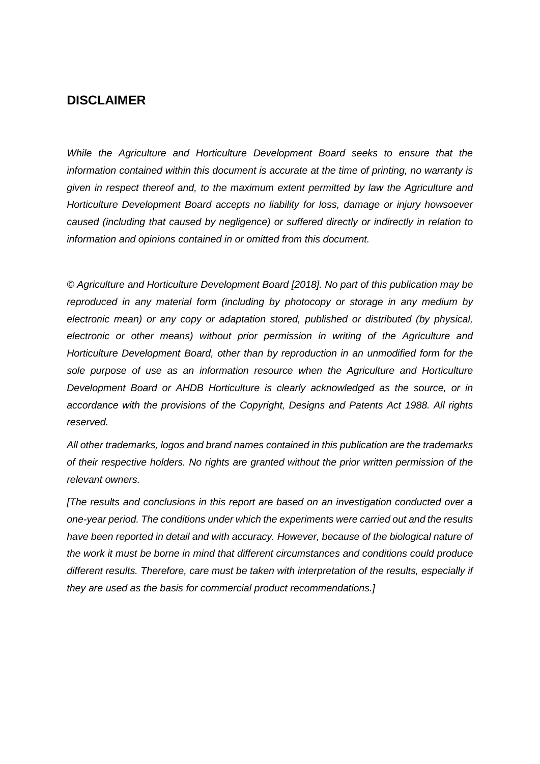#### **DISCLAIMER**

*While the Agriculture and Horticulture Development Board seeks to ensure that the information contained within this document is accurate at the time of printing, no warranty is given in respect thereof and, to the maximum extent permitted by law the Agriculture and Horticulture Development Board accepts no liability for loss, damage or injury howsoever caused (including that caused by negligence) or suffered directly or indirectly in relation to information and opinions contained in or omitted from this document.* 

*© Agriculture and Horticulture Development Board [2018]. No part of this publication may be reproduced in any material form (including by photocopy or storage in any medium by electronic mean) or any copy or adaptation stored, published or distributed (by physical, electronic or other means) without prior permission in writing of the Agriculture and Horticulture Development Board, other than by reproduction in an unmodified form for the sole purpose of use as an information resource when the Agriculture and Horticulture Development Board or AHDB Horticulture is clearly acknowledged as the source, or in accordance with the provisions of the Copyright, Designs and Patents Act 1988. All rights reserved.*

*All other trademarks, logos and brand names contained in this publication are the trademarks of their respective holders. No rights are granted without the prior written permission of the relevant owners.* 

*[The results and conclusions in this report are based on an investigation conducted over a one-year period. The conditions under which the experiments were carried out and the results*  have been reported in detail and with accuracy. However, because of the biological nature of *the work it must be borne in mind that different circumstances and conditions could produce different results. Therefore, care must be taken with interpretation of the results, especially if they are used as the basis for commercial product recommendations.]*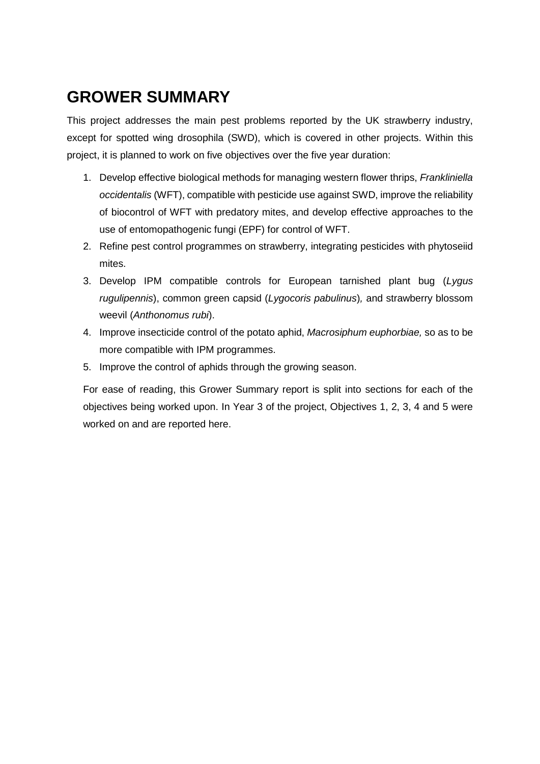## **GROWER SUMMARY**

This project addresses the main pest problems reported by the UK strawberry industry, except for spotted wing drosophila (SWD), which is covered in other projects. Within this project, it is planned to work on five objectives over the five year duration:

- 1. Develop effective biological methods for managing western flower thrips, *Frankliniella occidentalis* (WFT), compatible with pesticide use against SWD, improve the reliability of biocontrol of WFT with predatory mites, and develop effective approaches to the use of entomopathogenic fungi (EPF) for control of WFT.
- 2. Refine pest control programmes on strawberry, integrating pesticides with phytoseiid mites.
- 3. Develop IPM compatible controls for European tarnished plant bug (*Lygus rugulipennis*), common green capsid (*Lygocoris pabulinus*)*,* and strawberry blossom weevil (*Anthonomus rubi*).
- 4. Improve insecticide control of the potato aphid, *Macrosiphum euphorbiae,* so as to be more compatible with IPM programmes.
- 5. Improve the control of aphids through the growing season.

For ease of reading, this Grower Summary report is split into sections for each of the objectives being worked upon. In Year 3 of the project, Objectives 1, 2, 3, 4 and 5 were worked on and are reported here.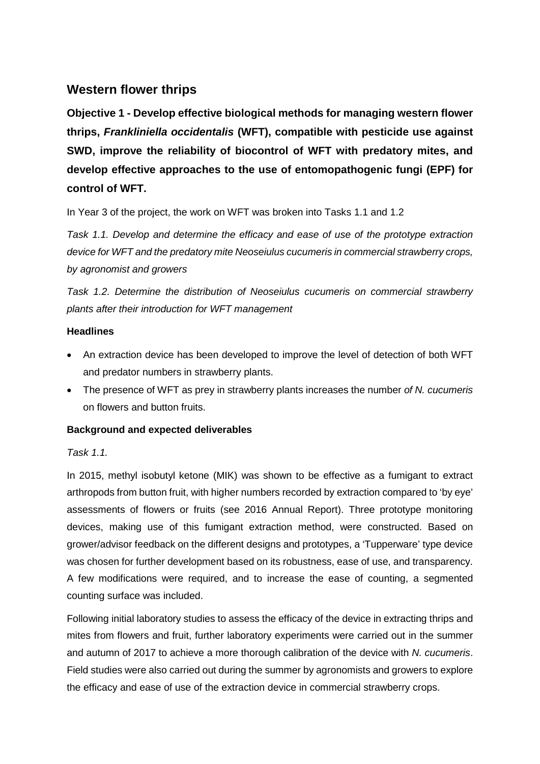## **Western flower thrips**

**Objective 1 - Develop effective biological methods for managing western flower thrips,** *Frankliniella occidentalis* **(WFT), compatible with pesticide use against SWD, improve the reliability of biocontrol of WFT with predatory mites, and develop effective approaches to the use of entomopathogenic fungi (EPF) for control of WFT.**

In Year 3 of the project, the work on WFT was broken into Tasks 1.1 and 1.2

*Task 1.1. Develop and determine the efficacy and ease of use of the prototype extraction device for WFT and the predatory mite Neoseiulus cucumeris in commercial strawberry crops, by agronomist and growers*

*Task 1.2. Determine the distribution of Neoseiulus cucumeris on commercial strawberry plants after their introduction for WFT management*

#### **Headlines**

- An extraction device has been developed to improve the level of detection of both WFT and predator numbers in strawberry plants.
- The presence of WFT as prey in strawberry plants increases the number *of N. cucumeris* on flowers and button fruits.

#### **Background and expected deliverables**

#### *Task 1.1.*

In 2015, methyl isobutyl ketone (MIK) was shown to be effective as a fumigant to extract arthropods from button fruit, with higher numbers recorded by extraction compared to 'by eye' assessments of flowers or fruits (see 2016 Annual Report). Three prototype monitoring devices, making use of this fumigant extraction method, were constructed. Based on grower/advisor feedback on the different designs and prototypes, a 'Tupperware' type device was chosen for further development based on its robustness, ease of use, and transparency. A few modifications were required, and to increase the ease of counting, a segmented counting surface was included.

Following initial laboratory studies to assess the efficacy of the device in extracting thrips and mites from flowers and fruit, further laboratory experiments were carried out in the summer and autumn of 2017 to achieve a more thorough calibration of the device with *N. cucumeris*. Field studies were also carried out during the summer by agronomists and growers to explore the efficacy and ease of use of the extraction device in commercial strawberry crops.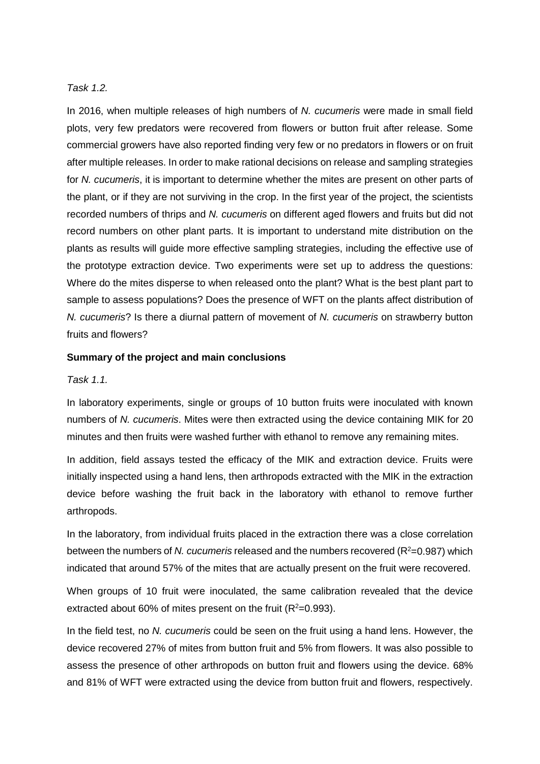#### *Task 1.2.*

In 2016, when multiple releases of high numbers of *N. cucumeris* were made in small field plots, very few predators were recovered from flowers or button fruit after release. Some commercial growers have also reported finding very few or no predators in flowers or on fruit after multiple releases. In order to make rational decisions on release and sampling strategies for *N. cucumeris*, it is important to determine whether the mites are present on other parts of the plant, or if they are not surviving in the crop. In the first year of the project, the scientists recorded numbers of thrips and *N. cucumeris* on different aged flowers and fruits but did not record numbers on other plant parts. It is important to understand mite distribution on the plants as results will guide more effective sampling strategies, including the effective use of the prototype extraction device. Two experiments were set up to address the questions: Where do the mites disperse to when released onto the plant? What is the best plant part to sample to assess populations? Does the presence of WFT on the plants affect distribution of *N. cucumeris*? Is there a diurnal pattern of movement of *N. cucumeris* on strawberry button fruits and flowers?

#### **Summary of the project and main conclusions**

#### *Task 1.1.*

In laboratory experiments, single or groups of 10 button fruits were inoculated with known numbers of *N. cucumeris*. Mites were then extracted using the device containing MIK for 20 minutes and then fruits were washed further with ethanol to remove any remaining mites.

In addition, field assays tested the efficacy of the MIK and extraction device. Fruits were initially inspected using a hand lens, then arthropods extracted with the MIK in the extraction device before washing the fruit back in the laboratory with ethanol to remove further arthropods.

In the laboratory, from individual fruits placed in the extraction there was a close correlation between the numbers of N. cucumeris released and the numbers recovered (R<sup>2</sup>=0.987) which indicated that around 57% of the mites that are actually present on the fruit were recovered.

When groups of 10 fruit were inoculated, the same calibration revealed that the device extracted about 60% of mites present on the fruit  $(R^2=0.993)$ .

In the field test, no *N. cucumeris* could be seen on the fruit using a hand lens. However, the device recovered 27% of mites from button fruit and 5% from flowers. It was also possible to assess the presence of other arthropods on button fruit and flowers using the device. 68% and 81% of WFT were extracted using the device from button fruit and flowers, respectively.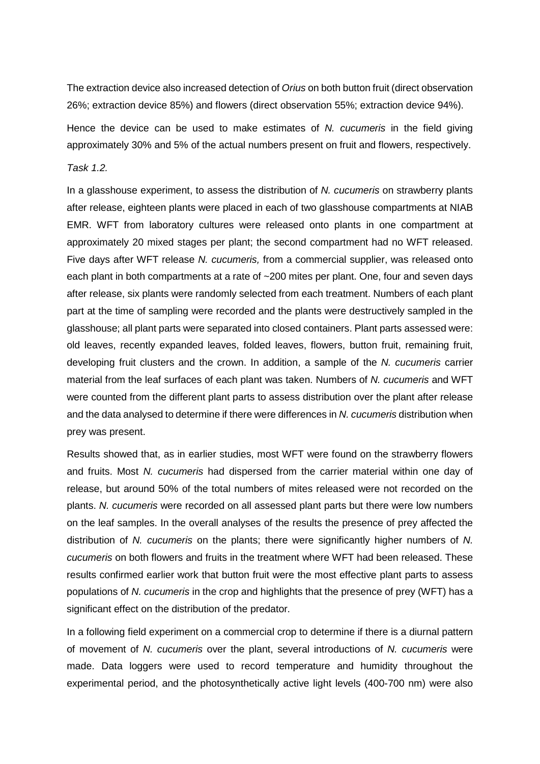The extraction device also increased detection of *Orius* on both button fruit (direct observation 26%; extraction device 85%) and flowers (direct observation 55%; extraction device 94%).

Hence the device can be used to make estimates of *N. cucumeris* in the field giving approximately 30% and 5% of the actual numbers present on fruit and flowers, respectively.

#### *Task 1.2.*

In a glasshouse experiment, to assess the distribution of *N. cucumeris* on strawberry plants after release, eighteen plants were placed in each of two glasshouse compartments at NIAB EMR. WFT from laboratory cultures were released onto plants in one compartment at approximately 20 mixed stages per plant; the second compartment had no WFT released. Five days after WFT release *N. cucumeris,* from a commercial supplier, was released onto each plant in both compartments at a rate of ~200 mites per plant. One, four and seven days after release, six plants were randomly selected from each treatment. Numbers of each plant part at the time of sampling were recorded and the plants were destructively sampled in the glasshouse; all plant parts were separated into closed containers. Plant parts assessed were: old leaves, recently expanded leaves, folded leaves, flowers, button fruit, remaining fruit, developing fruit clusters and the crown. In addition, a sample of the *N. cucumeris* carrier material from the leaf surfaces of each plant was taken. Numbers of *N. cucumeris* and WFT were counted from the different plant parts to assess distribution over the plant after release and the data analysed to determine if there were differences in *N. cucumeris* distribution when prey was present.

Results showed that, as in earlier studies, most WFT were found on the strawberry flowers and fruits. Most *N. cucumeris* had dispersed from the carrier material within one day of release, but around 50% of the total numbers of mites released were not recorded on the plants. *N. cucumeris* were recorded on all assessed plant parts but there were low numbers on the leaf samples. In the overall analyses of the results the presence of prey affected the distribution of *N. cucumeris* on the plants; there were significantly higher numbers of *N. cucumeris* on both flowers and fruits in the treatment where WFT had been released. These results confirmed earlier work that button fruit were the most effective plant parts to assess populations of *N. cucumeris* in the crop and highlights that the presence of prey (WFT) has a significant effect on the distribution of the predator.

In a following field experiment on a commercial crop to determine if there is a diurnal pattern of movement of *N. cucumeris* over the plant, several introductions of *N. cucumeris* were made. Data loggers were used to record temperature and humidity throughout the experimental period, and the photosynthetically active light levels (400-700 nm) were also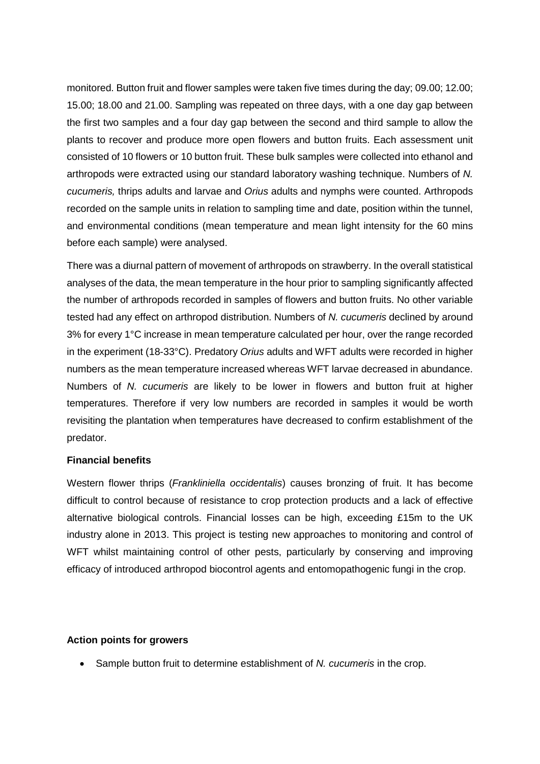monitored. Button fruit and flower samples were taken five times during the day; 09.00; 12.00; 15.00; 18.00 and 21.00. Sampling was repeated on three days, with a one day gap between the first two samples and a four day gap between the second and third sample to allow the plants to recover and produce more open flowers and button fruits. Each assessment unit consisted of 10 flowers or 10 button fruit. These bulk samples were collected into ethanol and arthropods were extracted using our standard laboratory washing technique. Numbers of *N. cucumeris,* thrips adults and larvae and *Orius* adults and nymphs were counted. Arthropods recorded on the sample units in relation to sampling time and date, position within the tunnel, and environmental conditions (mean temperature and mean light intensity for the 60 mins before each sample) were analysed.

There was a diurnal pattern of movement of arthropods on strawberry. In the overall statistical analyses of the data, the mean temperature in the hour prior to sampling significantly affected the number of arthropods recorded in samples of flowers and button fruits. No other variable tested had any effect on arthropod distribution. Numbers of *N. cucumeris* declined by around 3% for every 1°C increase in mean temperature calculated per hour, over the range recorded in the experiment (18-33°C). Predatory *Orius* adults and WFT adults were recorded in higher numbers as the mean temperature increased whereas WFT larvae decreased in abundance. Numbers of *N. cucumeris* are likely to be lower in flowers and button fruit at higher temperatures. Therefore if very low numbers are recorded in samples it would be worth revisiting the plantation when temperatures have decreased to confirm establishment of the predator.

#### **Financial benefits**

Western flower thrips (*Frankliniella occidentalis*) causes bronzing of fruit. It has become difficult to control because of resistance to crop protection products and a lack of effective alternative biological controls. Financial losses can be high, exceeding £15m to the UK industry alone in 2013. This project is testing new approaches to monitoring and control of WFT whilst maintaining control of other pests, particularly by conserving and improving efficacy of introduced arthropod biocontrol agents and entomopathogenic fungi in the crop.

#### **Action points for growers**

• Sample button fruit to determine establishment of *N. cucumeris* in the crop.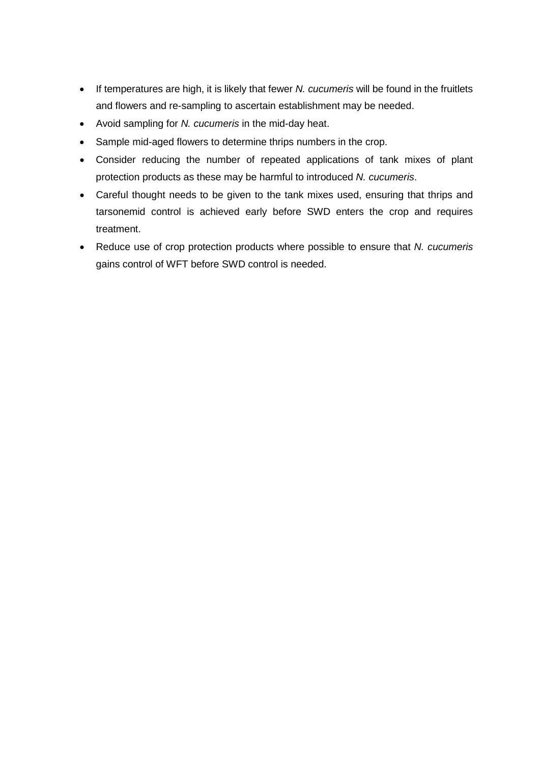- If temperatures are high, it is likely that fewer *N. cucumeris* will be found in the fruitlets and flowers and re-sampling to ascertain establishment may be needed.
- Avoid sampling for *N. cucumeris* in the mid-day heat.
- Sample mid-aged flowers to determine thrips numbers in the crop.
- Consider reducing the number of repeated applications of tank mixes of plant protection products as these may be harmful to introduced *N. cucumeris*.
- Careful thought needs to be given to the tank mixes used, ensuring that thrips and tarsonemid control is achieved early before SWD enters the crop and requires treatment.
- Reduce use of crop protection products where possible to ensure that *N. cucumeris* gains control of WFT before SWD control is needed.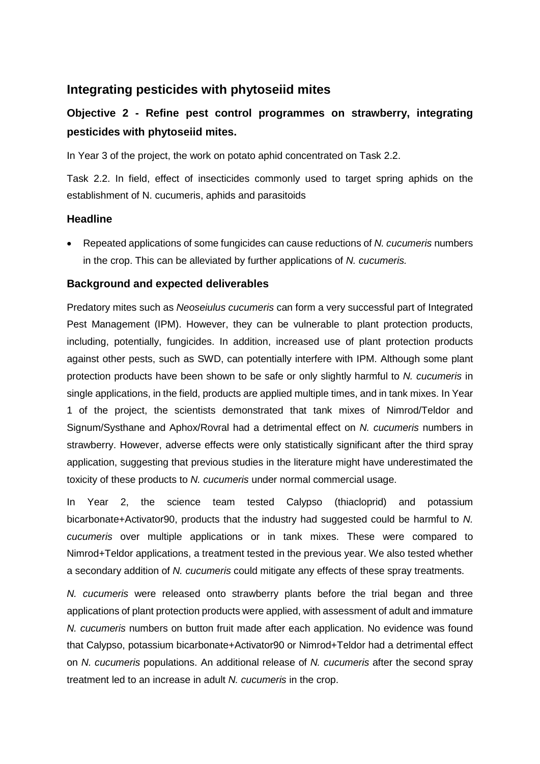### **Integrating pesticides with phytoseiid mites**

## **Objective 2 - Refine pest control programmes on strawberry, integrating pesticides with phytoseiid mites.**

In Year 3 of the project, the work on potato aphid concentrated on Task 2.2.

Task 2.2. In field, effect of insecticides commonly used to target spring aphids on the establishment of N. cucumeris, aphids and parasitoids

#### **Headline**

• Repeated applications of some fungicides can cause reductions of *N. cucumeris* numbers in the crop. This can be alleviated by further applications of *N. cucumeris.*

#### **Background and expected deliverables**

Predatory mites such as *Neoseiulus cucumeris* can form a very successful part of Integrated Pest Management (IPM). However, they can be vulnerable to plant protection products, including, potentially, fungicides. In addition, increased use of plant protection products against other pests, such as SWD, can potentially interfere with IPM. Although some plant protection products have been shown to be safe or only slightly harmful to *N. cucumeris* in single applications, in the field, products are applied multiple times, and in tank mixes. In Year 1 of the project, the scientists demonstrated that tank mixes of Nimrod/Teldor and Signum/Systhane and Aphox/Rovral had a detrimental effect on *N. cucumeris* numbers in strawberry. However, adverse effects were only statistically significant after the third spray application, suggesting that previous studies in the literature might have underestimated the toxicity of these products to *N. cucumeris* under normal commercial usage.

In Year 2, the science team tested Calypso (thiacloprid) and potassium bicarbonate+Activator90, products that the industry had suggested could be harmful to *N. cucumeris* over multiple applications or in tank mixes. These were compared to Nimrod+Teldor applications, a treatment tested in the previous year. We also tested whether a secondary addition of *N. cucumeris* could mitigate any effects of these spray treatments.

*N. cucumeris* were released onto strawberry plants before the trial began and three applications of plant protection products were applied, with assessment of adult and immature *N. cucumeris* numbers on button fruit made after each application. No evidence was found that Calypso, potassium bicarbonate+Activator90 or Nimrod+Teldor had a detrimental effect on *N. cucumeris* populations. An additional release of *N. cucumeris* after the second spray treatment led to an increase in adult *N. cucumeris* in the crop.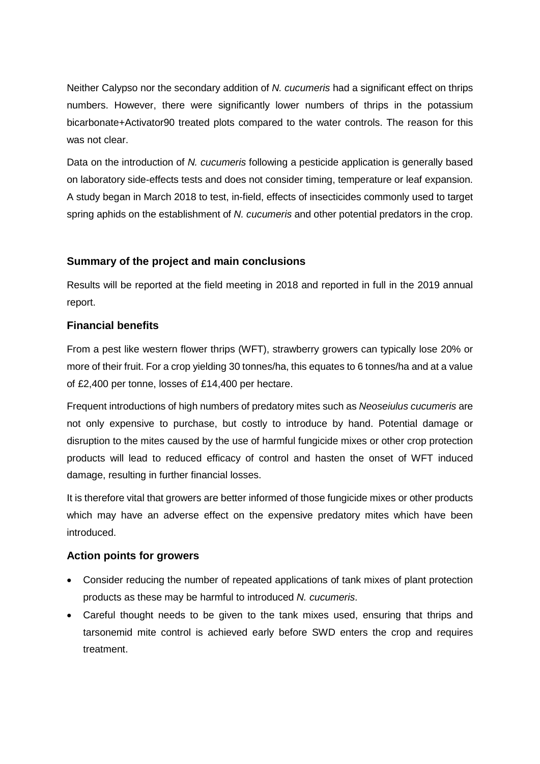Neither Calypso nor the secondary addition of *N. cucumeris* had a significant effect on thrips numbers. However, there were significantly lower numbers of thrips in the potassium bicarbonate+Activator90 treated plots compared to the water controls. The reason for this was not clear.

Data on the introduction of *N. cucumeris* following a pesticide application is generally based on laboratory side-effects tests and does not consider timing, temperature or leaf expansion. A study began in March 2018 to test, in-field, effects of insecticides commonly used to target spring aphids on the establishment of *N. cucumeris* and other potential predators in the crop.

#### **Summary of the project and main conclusions**

Results will be reported at the field meeting in 2018 and reported in full in the 2019 annual report.

#### **Financial benefits**

From a pest like western flower thrips (WFT), strawberry growers can typically lose 20% or more of their fruit. For a crop yielding 30 tonnes/ha, this equates to 6 tonnes/ha and at a value of £2,400 per tonne, losses of £14,400 per hectare.

Frequent introductions of high numbers of predatory mites such as *Neoseiulus cucumeris* are not only expensive to purchase, but costly to introduce by hand. Potential damage or disruption to the mites caused by the use of harmful fungicide mixes or other crop protection products will lead to reduced efficacy of control and hasten the onset of WFT induced damage, resulting in further financial losses.

It is therefore vital that growers are better informed of those fungicide mixes or other products which may have an adverse effect on the expensive predatory mites which have been introduced.

#### **Action points for growers**

- Consider reducing the number of repeated applications of tank mixes of plant protection products as these may be harmful to introduced *N. cucumeris*.
- Careful thought needs to be given to the tank mixes used, ensuring that thrips and tarsonemid mite control is achieved early before SWD enters the crop and requires treatment.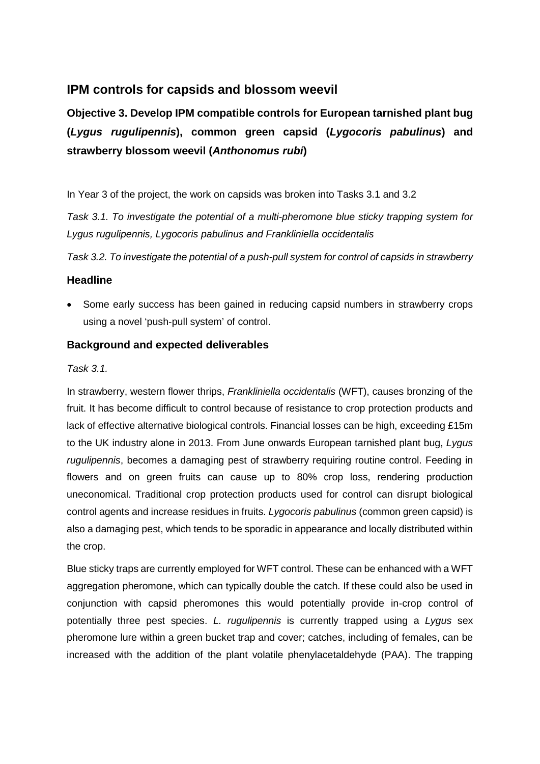## **IPM controls for capsids and blossom weevil**

**Objective 3. Develop IPM compatible controls for European tarnished plant bug (***Lygus rugulipennis***), common green capsid (***Lygocoris pabulinus***) and strawberry blossom weevil (***Anthonomus rubi***)**

In Year 3 of the project, the work on capsids was broken into Tasks 3.1 and 3.2

*Task 3.1. To investigate the potential of a multi-pheromone blue sticky trapping system for Lygus rugulipennis, Lygocoris pabulinus and Frankliniella occidentalis*

*Task 3.2. To investigate the potential of a push-pull system for control of capsids in strawberry*

#### **Headline**

• Some early success has been gained in reducing capsid numbers in strawberry crops using a novel 'push-pull system' of control.

#### **Background and expected deliverables**

#### *Task 3.1.*

In strawberry, western flower thrips, *Frankliniella occidentalis* (WFT), causes bronzing of the fruit. It has become difficult to control because of resistance to crop protection products and lack of effective alternative biological controls. Financial losses can be high, exceeding £15m to the UK industry alone in 2013. From June onwards European tarnished plant bug, *Lygus rugulipennis*, becomes a damaging pest of strawberry requiring routine control. Feeding in flowers and on green fruits can cause up to 80% crop loss, rendering production uneconomical. Traditional crop protection products used for control can disrupt biological control agents and increase residues in fruits. *Lygocoris pabulinus* (common green capsid) is also a damaging pest, which tends to be sporadic in appearance and locally distributed within the crop.

Blue sticky traps are currently employed for WFT control. These can be enhanced with a WFT aggregation pheromone, which can typically double the catch. If these could also be used in conjunction with capsid pheromones this would potentially provide in-crop control of potentially three pest species. *L. rugulipennis* is currently trapped using a *Lygus* sex pheromone lure within a green bucket trap and cover; catches, including of females, can be increased with the addition of the plant volatile phenylacetaldehyde (PAA). The trapping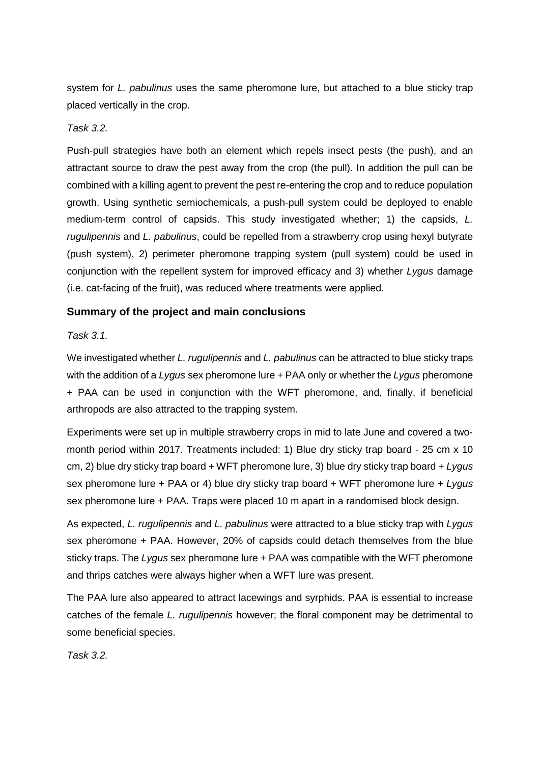system for *L. pabulinus* uses the same pheromone lure, but attached to a blue sticky trap placed vertically in the crop.

#### *Task 3.2.*

Push-pull strategies have both an element which repels insect pests (the push), and an attractant source to draw the pest away from the crop (the pull). In addition the pull can be combined with a killing agent to prevent the pest re-entering the crop and to reduce population growth. Using synthetic semiochemicals, a push-pull system could be deployed to enable medium-term control of capsids. This study investigated whether; 1) the capsids, *L. rugulipennis* and *L. pabulinus*, could be repelled from a strawberry crop using hexyl butyrate (push system), 2) perimeter pheromone trapping system (pull system) could be used in conjunction with the repellent system for improved efficacy and 3) whether *Lygus* damage (i.e. cat-facing of the fruit), was reduced where treatments were applied.

#### **Summary of the project and main conclusions**

#### *Task 3.1.*

We investigated whether *L. rugulipennis* and *L. pabulinus* can be attracted to blue sticky traps with the addition of a *Lygus* sex pheromone lure + PAA only or whether the *Lygus* pheromone + PAA can be used in conjunction with the WFT pheromone, and, finally, if beneficial arthropods are also attracted to the trapping system.

Experiments were set up in multiple strawberry crops in mid to late June and covered a twomonth period within 2017. Treatments included: 1) Blue dry sticky trap board - 25 cm x 10 cm, 2) blue dry sticky trap board + WFT pheromone lure, 3) blue dry sticky trap board + *Lygus* sex pheromone lure + PAA or 4) blue dry sticky trap board + WFT pheromone lure + *Lygus* sex pheromone lure + PAA. Traps were placed 10 m apart in a randomised block design.

As expected, *L. rugulipennis* and *L. pabulinus* were attracted to a blue sticky trap with *Lygus* sex pheromone + PAA. However, 20% of capsids could detach themselves from the blue sticky traps. The *Lygus* sex pheromone lure + PAA was compatible with the WFT pheromone and thrips catches were always higher when a WFT lure was present.

The PAA lure also appeared to attract lacewings and syrphids. PAA is essential to increase catches of the female *L. rugulipennis* however; the floral component may be detrimental to some beneficial species.

*Task 3.2.*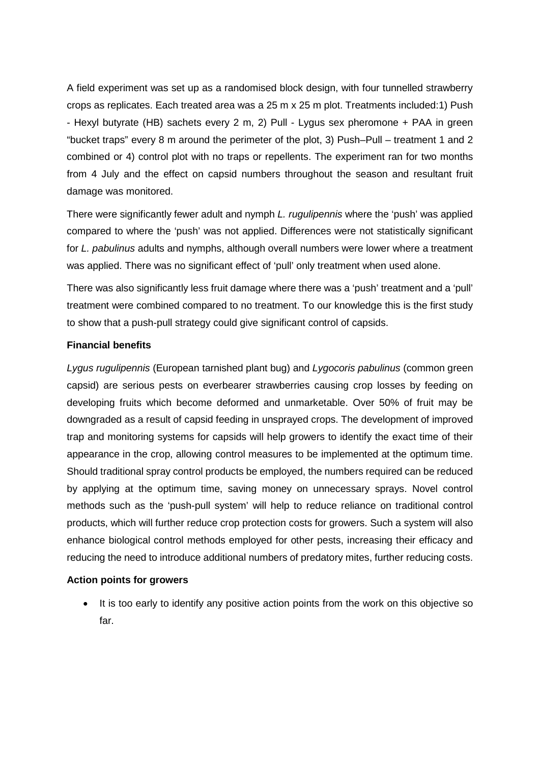A field experiment was set up as a randomised block design, with four tunnelled strawberry crops as replicates. Each treated area was a 25 m x 25 m plot. Treatments included:1) Push - Hexyl butyrate (HB) sachets every 2 m, 2) Pull - Lygus sex pheromone + PAA in green "bucket traps" every 8 m around the perimeter of the plot, 3) Push–Pull – treatment 1 and 2 combined or 4) control plot with no traps or repellents. The experiment ran for two months from 4 July and the effect on capsid numbers throughout the season and resultant fruit damage was monitored.

There were significantly fewer adult and nymph *L. rugulipennis* where the 'push' was applied compared to where the 'push' was not applied. Differences were not statistically significant for *L. pabulinus* adults and nymphs, although overall numbers were lower where a treatment was applied. There was no significant effect of 'pull' only treatment when used alone.

There was also significantly less fruit damage where there was a 'push' treatment and a 'pull' treatment were combined compared to no treatment. To our knowledge this is the first study to show that a push-pull strategy could give significant control of capsids.

#### **Financial benefits**

*Lygus rugulipennis* (European tarnished plant bug) and *Lygocoris pabulinus* (common green capsid) are serious pests on everbearer strawberries causing crop losses by feeding on developing fruits which become deformed and unmarketable. Over 50% of fruit may be downgraded as a result of capsid feeding in unsprayed crops. The development of improved trap and monitoring systems for capsids will help growers to identify the exact time of their appearance in the crop, allowing control measures to be implemented at the optimum time. Should traditional spray control products be employed, the numbers required can be reduced by applying at the optimum time, saving money on unnecessary sprays. Novel control methods such as the 'push-pull system' will help to reduce reliance on traditional control products, which will further reduce crop protection costs for growers. Such a system will also enhance biological control methods employed for other pests, increasing their efficacy and reducing the need to introduce additional numbers of predatory mites, further reducing costs.

#### **Action points for growers**

• It is too early to identify any positive action points from the work on this objective so far.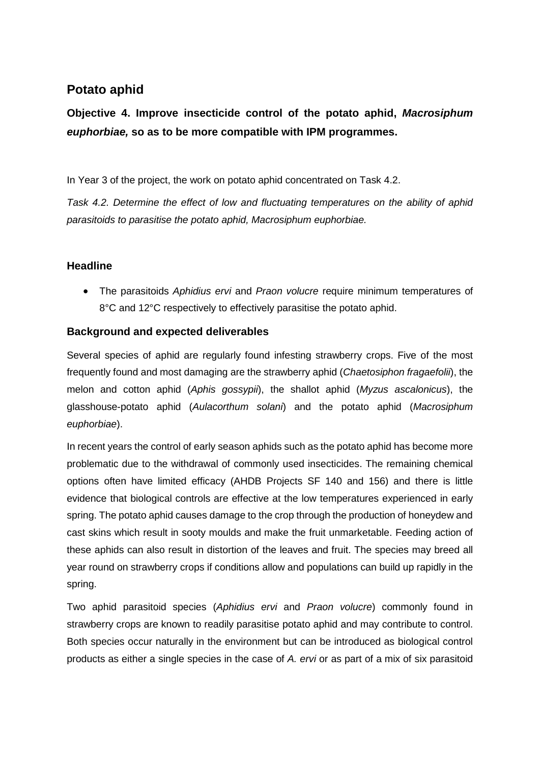## **Potato aphid**

## **Objective 4. Improve insecticide control of the potato aphid,** *Macrosiphum euphorbiae,* **so as to be more compatible with IPM programmes.**

In Year 3 of the project, the work on potato aphid concentrated on Task 4.2.

*Task 4.2. Determine the effect of low and fluctuating temperatures on the ability of aphid parasitoids to parasitise the potato aphid, Macrosiphum euphorbiae.*

#### **Headline**

• The parasitoids *Aphidius ervi* and *Praon volucre* require minimum temperatures of 8°C and 12°C respectively to effectively parasitise the potato aphid.

#### **Background and expected deliverables**

Several species of aphid are regularly found infesting strawberry crops. Five of the most frequently found and most damaging are the strawberry aphid (*Chaetosiphon fragaefolii*), the melon and cotton aphid (*Aphis gossypii*), the shallot aphid (*Myzus ascalonicus*), the glasshouse-potato aphid (*Aulacorthum solani*) and the potato aphid (*Macrosiphum euphorbiae*).

In recent years the control of early season aphids such as the potato aphid has become more problematic due to the withdrawal of commonly used insecticides. The remaining chemical options often have limited efficacy (AHDB Projects SF 140 and 156) and there is little evidence that biological controls are effective at the low temperatures experienced in early spring. The potato aphid causes damage to the crop through the production of honeydew and cast skins which result in sooty moulds and make the fruit unmarketable. Feeding action of these aphids can also result in distortion of the leaves and fruit. The species may breed all year round on strawberry crops if conditions allow and populations can build up rapidly in the spring.

Two aphid parasitoid species (*Aphidius ervi* and *Praon volucre*) commonly found in strawberry crops are known to readily parasitise potato aphid and may contribute to control. Both species occur naturally in the environment but can be introduced as biological control products as either a single species in the case of *A. ervi* or as part of a mix of six parasitoid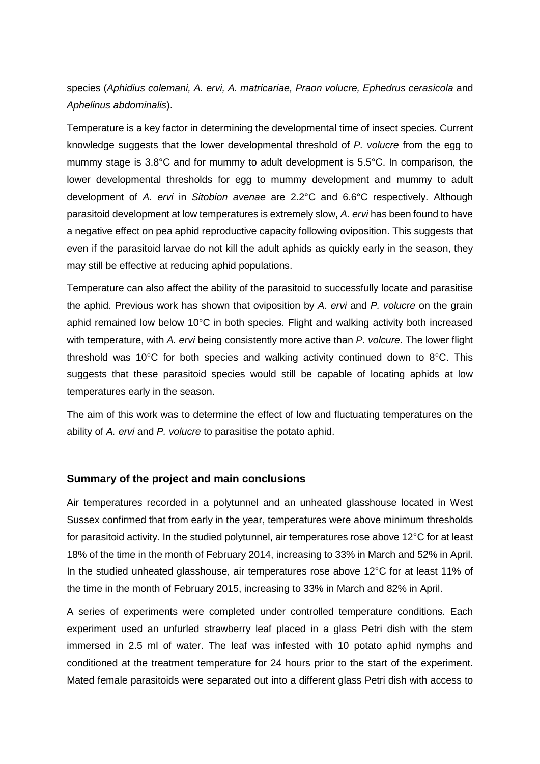species (*Aphidius colemani, A. ervi, A. matricariae, Praon volucre, Ephedrus cerasicola* and *Aphelinus abdominalis*).

Temperature is a key factor in determining the developmental time of insect species. Current knowledge suggests that the lower developmental threshold of *P. volucre* from the egg to mummy stage is 3.8°C and for mummy to adult development is 5.5°C. In comparison, the lower developmental thresholds for egg to mummy development and mummy to adult development of *A. ervi* in *Sitobion avenae* are 2.2°C and 6.6°C respectively. Although parasitoid development at low temperatures is extremely slow, *A. ervi* has been found to have a negative effect on pea aphid reproductive capacity following oviposition. This suggests that even if the parasitoid larvae do not kill the adult aphids as quickly early in the season, they may still be effective at reducing aphid populations.

Temperature can also affect the ability of the parasitoid to successfully locate and parasitise the aphid. Previous work has shown that oviposition by *A. ervi* and *P. volucre* on the grain aphid remained low below 10°C in both species. Flight and walking activity both increased with temperature, with *A. ervi* being consistently more active than *P. volcure*. The lower flight threshold was 10°C for both species and walking activity continued down to 8°C. This suggests that these parasitoid species would still be capable of locating aphids at low temperatures early in the season.

The aim of this work was to determine the effect of low and fluctuating temperatures on the ability of *A. ervi* and *P. volucre* to parasitise the potato aphid.

#### **Summary of the project and main conclusions**

Air temperatures recorded in a polytunnel and an unheated glasshouse located in West Sussex confirmed that from early in the year, temperatures were above minimum thresholds for parasitoid activity. In the studied polytunnel, air temperatures rose above 12°C for at least 18% of the time in the month of February 2014, increasing to 33% in March and 52% in April. In the studied unheated glasshouse, air temperatures rose above 12°C for at least 11% of the time in the month of February 2015, increasing to 33% in March and 82% in April.

A series of experiments were completed under controlled temperature conditions. Each experiment used an unfurled strawberry leaf placed in a glass Petri dish with the stem immersed in 2.5 ml of water. The leaf was infested with 10 potato aphid nymphs and conditioned at the treatment temperature for 24 hours prior to the start of the experiment. Mated female parasitoids were separated out into a different glass Petri dish with access to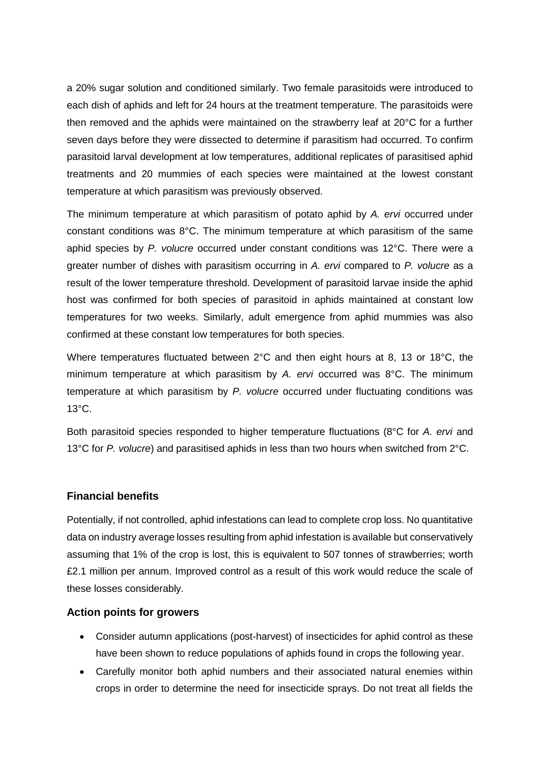a 20% sugar solution and conditioned similarly. Two female parasitoids were introduced to each dish of aphids and left for 24 hours at the treatment temperature. The parasitoids were then removed and the aphids were maintained on the strawberry leaf at 20°C for a further seven days before they were dissected to determine if parasitism had occurred. To confirm parasitoid larval development at low temperatures, additional replicates of parasitised aphid treatments and 20 mummies of each species were maintained at the lowest constant temperature at which parasitism was previously observed.

The minimum temperature at which parasitism of potato aphid by *A. ervi* occurred under constant conditions was 8°C. The minimum temperature at which parasitism of the same aphid species by *P. volucre* occurred under constant conditions was 12°C. There were a greater number of dishes with parasitism occurring in *A. ervi* compared to *P. volucre* as a result of the lower temperature threshold. Development of parasitoid larvae inside the aphid host was confirmed for both species of parasitoid in aphids maintained at constant low temperatures for two weeks. Similarly, adult emergence from aphid mummies was also confirmed at these constant low temperatures for both species.

Where temperatures fluctuated between 2°C and then eight hours at 8, 13 or 18°C, the minimum temperature at which parasitism by *A. ervi* occurred was 8°C. The minimum temperature at which parasitism by *P. volucre* occurred under fluctuating conditions was 13°C.

Both parasitoid species responded to higher temperature fluctuations (8°C for *A. ervi* and 13°C for *P. volucre*) and parasitised aphids in less than two hours when switched from 2°C.

#### **Financial benefits**

Potentially, if not controlled, aphid infestations can lead to complete crop loss. No quantitative data on industry average losses resulting from aphid infestation is available but conservatively assuming that 1% of the crop is lost, this is equivalent to 507 tonnes of strawberries; worth £2.1 million per annum. Improved control as a result of this work would reduce the scale of these losses considerably.

#### **Action points for growers**

- Consider autumn applications (post-harvest) of insecticides for aphid control as these have been shown to reduce populations of aphids found in crops the following year.
- Carefully monitor both aphid numbers and their associated natural enemies within crops in order to determine the need for insecticide sprays. Do not treat all fields the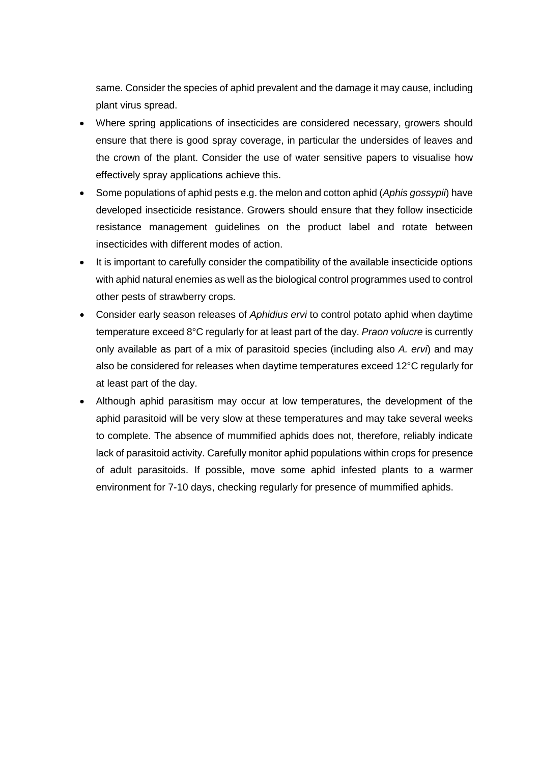same. Consider the species of aphid prevalent and the damage it may cause, including plant virus spread.

- Where spring applications of insecticides are considered necessary, growers should ensure that there is good spray coverage, in particular the undersides of leaves and the crown of the plant. Consider the use of water sensitive papers to visualise how effectively spray applications achieve this.
- Some populations of aphid pests e.g. the melon and cotton aphid (*Aphis gossypii*) have developed insecticide resistance. Growers should ensure that they follow insecticide resistance management guidelines on the product label and rotate between insecticides with different modes of action.
- It is important to carefully consider the compatibility of the available insecticide options with aphid natural enemies as well as the biological control programmes used to control other pests of strawberry crops.
- Consider early season releases of *Aphidius ervi* to control potato aphid when daytime temperature exceed 8°C regularly for at least part of the day. *Praon volucre* is currently only available as part of a mix of parasitoid species (including also *A. ervi*) and may also be considered for releases when daytime temperatures exceed 12°C regularly for at least part of the day.
- Although aphid parasitism may occur at low temperatures, the development of the aphid parasitoid will be very slow at these temperatures and may take several weeks to complete. The absence of mummified aphids does not, therefore, reliably indicate lack of parasitoid activity. Carefully monitor aphid populations within crops for presence of adult parasitoids. If possible, move some aphid infested plants to a warmer environment for 7-10 days, checking regularly for presence of mummified aphids.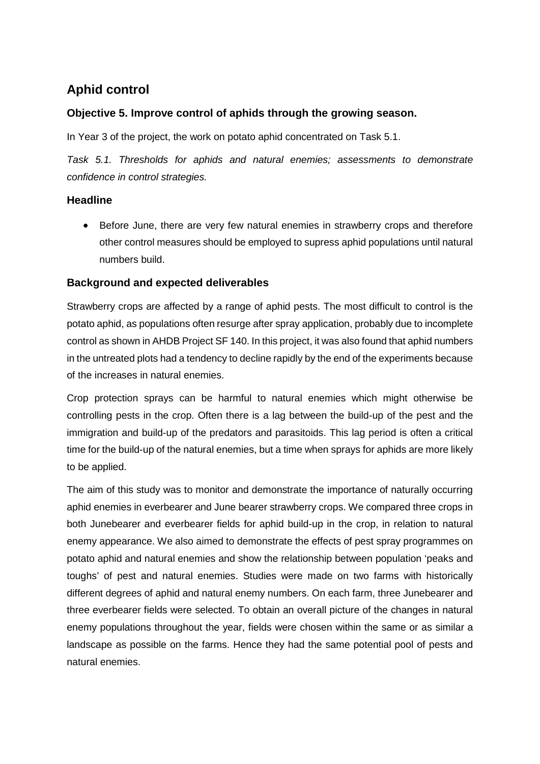## **Aphid control**

#### **Objective 5. Improve control of aphids through the growing season.**

In Year 3 of the project, the work on potato aphid concentrated on Task 5.1.

*Task 5.1. Thresholds for aphids and natural enemies; assessments to demonstrate confidence in control strategies.*

#### **Headline**

• Before June, there are very few natural enemies in strawberry crops and therefore other control measures should be employed to supress aphid populations until natural numbers build.

#### **Background and expected deliverables**

Strawberry crops are affected by a range of aphid pests. The most difficult to control is the potato aphid, as populations often resurge after spray application, probably due to incomplete control as shown in AHDB Project SF 140. In this project, it was also found that aphid numbers in the untreated plots had a tendency to decline rapidly by the end of the experiments because of the increases in natural enemies.

Crop protection sprays can be harmful to natural enemies which might otherwise be controlling pests in the crop. Often there is a lag between the build-up of the pest and the immigration and build-up of the predators and parasitoids. This lag period is often a critical time for the build-up of the natural enemies, but a time when sprays for aphids are more likely to be applied.

The aim of this study was to monitor and demonstrate the importance of naturally occurring aphid enemies in everbearer and June bearer strawberry crops. We compared three crops in both Junebearer and everbearer fields for aphid build-up in the crop, in relation to natural enemy appearance. We also aimed to demonstrate the effects of pest spray programmes on potato aphid and natural enemies and show the relationship between population 'peaks and toughs' of pest and natural enemies. Studies were made on two farms with historically different degrees of aphid and natural enemy numbers. On each farm, three Junebearer and three everbearer fields were selected. To obtain an overall picture of the changes in natural enemy populations throughout the year, fields were chosen within the same or as similar a landscape as possible on the farms. Hence they had the same potential pool of pests and natural enemies.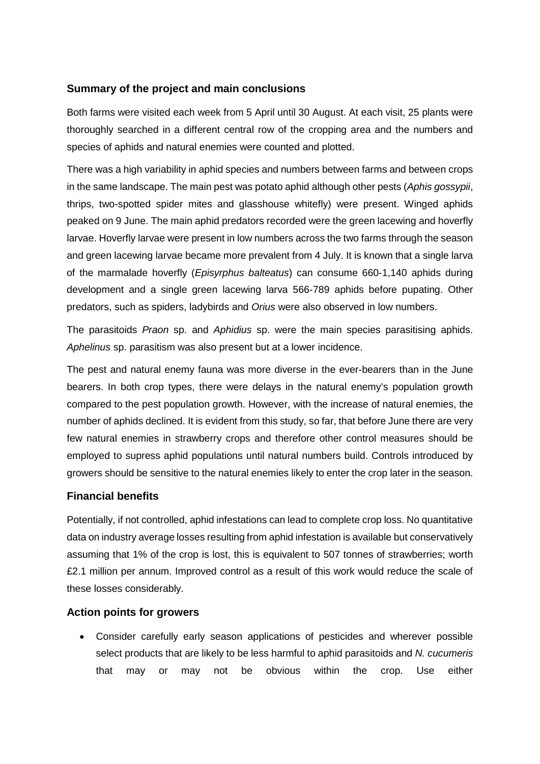#### **Summary of the project and main conclusions**

Both farms were visited each week from 5 April until 30 August. At each visit, 25 plants were thoroughly searched in a different central row of the cropping area and the numbers and species of aphids and natural enemies were counted and plotted.

There was a high variability in aphid species and numbers between farms and between crops in the same landscape. The main pest was potato aphid although other pests (*Aphis gossypii*, thrips, two-spotted spider mites and glasshouse whitefly) were present. Winged aphids peaked on 9 June. The main aphid predators recorded were the green lacewing and hoverfly larvae. Hoverfly larvae were present in low numbers across the two farms through the season and green lacewing larvae became more prevalent from 4 July. It is known that a single larva of the marmalade hoverfly (*Episyrphus balteatus*) can consume 660-1,140 aphids during development and a single green lacewing larva 566-789 aphids before pupating. Other predators, such as spiders, ladybirds and *Orius* were also observed in low numbers.

The parasitoids *Praon* sp. and *Aphidius* sp. were the main species parasitising aphids. *Aphelinus* sp. parasitism was also present but at a lower incidence.

The pest and natural enemy fauna was more diverse in the ever-bearers than in the June bearers. In both crop types, there were delays in the natural enemy's population growth compared to the pest population growth. However, with the increase of natural enemies, the number of aphids declined. It is evident from this study, so far, that before June there are very few natural enemies in strawberry crops and therefore other control measures should be employed to supress aphid populations until natural numbers build. Controls introduced by growers should be sensitive to the natural enemies likely to enter the crop later in the season.

#### **Financial benefits**

Potentially, if not controlled, aphid infestations can lead to complete crop loss. No quantitative data on industry average losses resulting from aphid infestation is available but conservatively assuming that 1% of the crop is lost, this is equivalent to 507 tonnes of strawberries; worth £2.1 million per annum. Improved control as a result of this work would reduce the scale of these losses considerably.

#### **Action points for growers**

• Consider carefully early season applications of pesticides and wherever possible select products that are likely to be less harmful to aphid parasitoids and *N. cucumeris* that may or may not be obvious within the crop. Use either